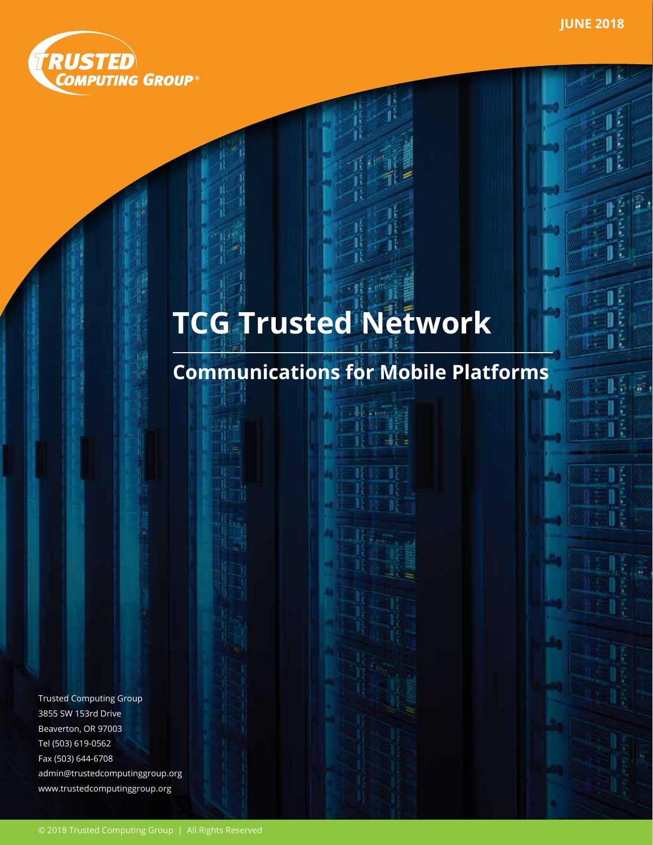ß.



# **TCG Trusted Network**

Ħ

## **Communications for Mobile Platforms**

Trusted Computing Group 3855 SW 153rd Drive Beaverton, OR 97003 Tel (503) 619-0562 Fax (503) 644-6708 admin@trustedcomputinggroup.org www.trustedcomputinggroup.org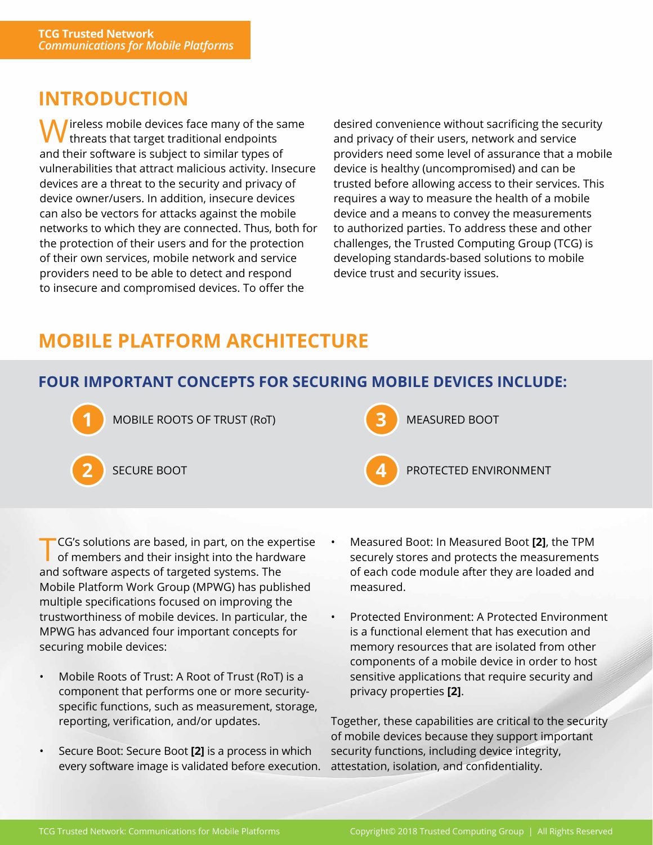### **INTRODUCTION**

Mireless mobile devices face many of the same  **threats that target traditional endpoints** and their software is subject to similar types of vulnerabilities that attract malicious activity. Insecure devices are a threat to the security and privacy of device owner/users. In addition, insecure devices can also be vectors for attacks against the mobile networks to which they are connected. Thus, both for the protection of their users and for the protection of their own services, mobile network and service providers need to be able to detect and respond to insecure and compromised devices. To offer the

desired convenience without sacrificing the security and privacy of their users, network and service providers need some level of assurance that a mobile device is healthy (uncompromised) and can be trusted before allowing access to their services. This requires a way to measure the health of a mobile device and a means to convey the measurements to authorized parties. To address these and other challenges, the Trusted Computing Group (TCG) is developing standards-based solutions to mobile device trust and security issues.

## **MOBILE PLATFORM ARCHITECTURE**

#### **FOUR IMPORTANT CONCEPTS FOR SECURING MOBILE DEVICES INCLUDE:**



**1** MOBILE ROOTS OF TRUST (RoT) **8** MEASURED BOOT





PROTECTED ENVIRONMENT

TCG's solutions are based, in part, on the expertise of members and their insight into the hardware and software aspects of targeted systems. The Mobile Platform Work Group (MPWG) has published multiple specifications focused on improving the trustworthiness of mobile devices. In particular, the MPWG has advanced four important concepts for securing mobile devices:

- Mobile Roots of Trust: A Root of Trust (RoT) is a component that performs one or more securityspecific functions, such as measurement, storage, reporting, verification, and/or updates.
- Secure Boot: Secure Boot **[2]** is a process in which every software image is validated before execution.
- Measured Boot: In Measured Boot **[2]**, the TPM securely stores and protects the measurements of each code module after they are loaded and measured.
- Protected Environment: A Protected Environment is a functional element that has execution and memory resources that are isolated from other components of a mobile device in order to host sensitive applications that require security and privacy properties **[2]**.

Together, these capabilities are critical to the security of mobile devices because they support important security functions, including device integrity, attestation, isolation, and confidentiality.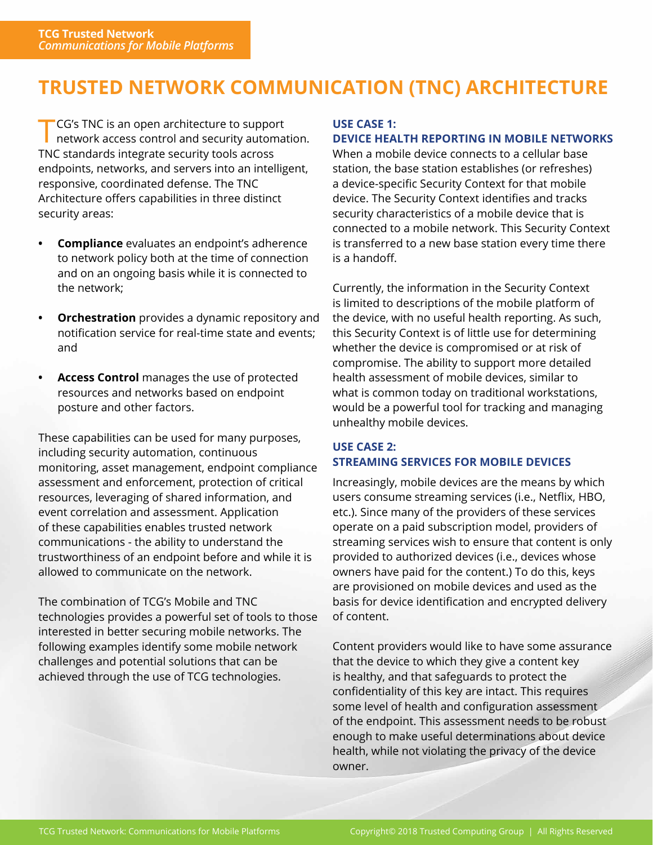## **TRUSTED NETWORK COMMUNICATION (TNC) ARCHITECTURE**

TCG's TNC is an open architecture to support network access control and security automation. TNC standards integrate security tools across endpoints, networks, and servers into an intelligent, responsive, coordinated defense. The TNC Architecture offers capabilities in three distinct security areas:

- **• Compliance** evaluates an endpoint's adherence to network policy both at the time of connection and on an ongoing basis while it is connected to the network;
- **• Orchestration** provides a dynamic repository and notification service for real-time state and events; and
- **• Access Control** manages the use of protected resources and networks based on endpoint posture and other factors.

These capabilities can be used for many purposes, including security automation, continuous monitoring, asset management, endpoint compliance assessment and enforcement, protection of critical resources, leveraging of shared information, and event correlation and assessment. Application of these capabilities enables trusted network communications - the ability to understand the trustworthiness of an endpoint before and while it is allowed to communicate on the network.

The combination of TCG's Mobile and TNC technologies provides a powerful set of tools to those interested in better securing mobile networks. The following examples identify some mobile network challenges and potential solutions that can be achieved through the use of TCG technologies.

#### **USE CASE 1:**

#### **DEVICE HEALTH REPORTING IN MOBILE NETWORKS**

When a mobile device connects to a cellular base station, the base station establishes (or refreshes) a device-specific Security Context for that mobile device. The Security Context identifies and tracks security characteristics of a mobile device that is connected to a mobile network. This Security Context is transferred to a new base station every time there is a handoff.

Currently, the information in the Security Context is limited to descriptions of the mobile platform of the device, with no useful health reporting. As such, this Security Context is of little use for determining whether the device is compromised or at risk of compromise. The ability to support more detailed health assessment of mobile devices, similar to what is common today on traditional workstations, would be a powerful tool for tracking and managing unhealthy mobile devices.

#### **USE CASE 2: STREAMING SERVICES FOR MOBILE DEVICES**

Increasingly, mobile devices are the means by which users consume streaming services (i.e., Netflix, HBO, etc.). Since many of the providers of these services operate on a paid subscription model, providers of streaming services wish to ensure that content is only provided to authorized devices (i.e., devices whose owners have paid for the content.) To do this, keys are provisioned on mobile devices and used as the basis for device identification and encrypted delivery of content.

Content providers would like to have some assurance that the device to which they give a content key is healthy, and that safeguards to protect the confidentiality of this key are intact. This requires some level of health and configuration assessment of the endpoint. This assessment needs to be robust enough to make useful determinations about device health, while not violating the privacy of the device owner.